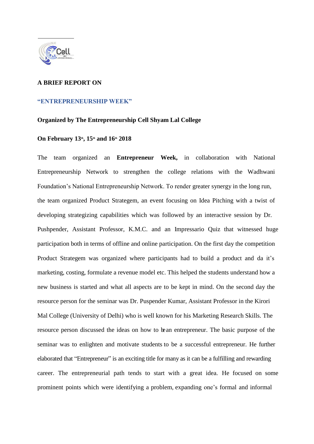

## **A BRIEF REPORT ON**

## **"ENTREPRENEURSHIP WEEK"**

## **Organized by The Entrepreneurship Cell Shyam Lal College**

## **On February 13th, 15th and 16th 2018**

The team organized an **Entrepreneur Week,** in collaboration with National Entrepreneurship Network to strengthen the college relations with the Wadhwani Foundation's National Entrepreneurship Network. To render greater synergy in the long run, the team organized Product Strategem, an event focusing on Idea Pitching with a twist of developing strategizing capabilities which was followed by an interactive session by Dr. Pushpender, Assistant Professor, K.M.C. and an Impressario Quiz that witnessed huge participation both in terms of offline and online participation. On the first day the competition Product Strategem was organized where participants had to build a product and da it's marketing, costing, formulate a revenue model etc. This helped the students understand how a new business is started and what all aspects are to be kept in mind. On the second day the resource person for the seminar was Dr. Puspender Kumar, Assistant Professor in the Kirori Mal College (University of Delhi) who is well known for his Marketing Research Skills. The resource person discussed the ideas on how to bean entrepreneur. The basic purpose of the seminar was to enlighten and motivate students to be a successful entrepreneur. He further elaborated that "Entrepreneur" is an exciting title for many as it can be a fulfilling and rewarding career. The entrepreneurial path tends to start with a great idea. He focused on some prominent points which were identifying a problem, expanding one's formal and informal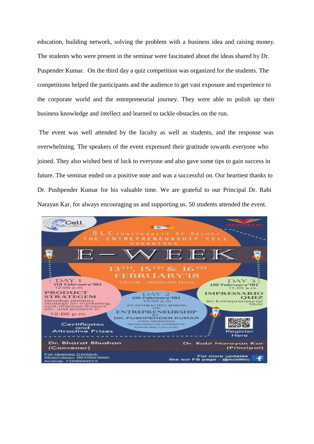education, building network, solving the problem with a business idea and raising money. The students who were present in the seminar were fascinated about the ideas shared by Dr. Puspender Kumar. On the third day a quiz competition was organized for the students. The competitions helped the participants and the audience to get vast exposure and experience to the corporate world and the entrepreneurial journey. They were able to polish up their business knowledge and intellect and learned to tackle obstacles on the run.

 The event was well attended by the faculty as well as students, and the response was overwhelming. The speakers of the event expressed their gratitude towards everyone who joined. They also wished best of luck to everyone and also gave some tips to gain success in future. The seminar ended on a positive note and was a successful on. Our heartiest thanks to Dr. Pushpender Kumar for his valuable time. We are grateful to our Principal Dr. Rabi Narayan Kar, for always encouraging us and supporting us. 50 students attended the event.